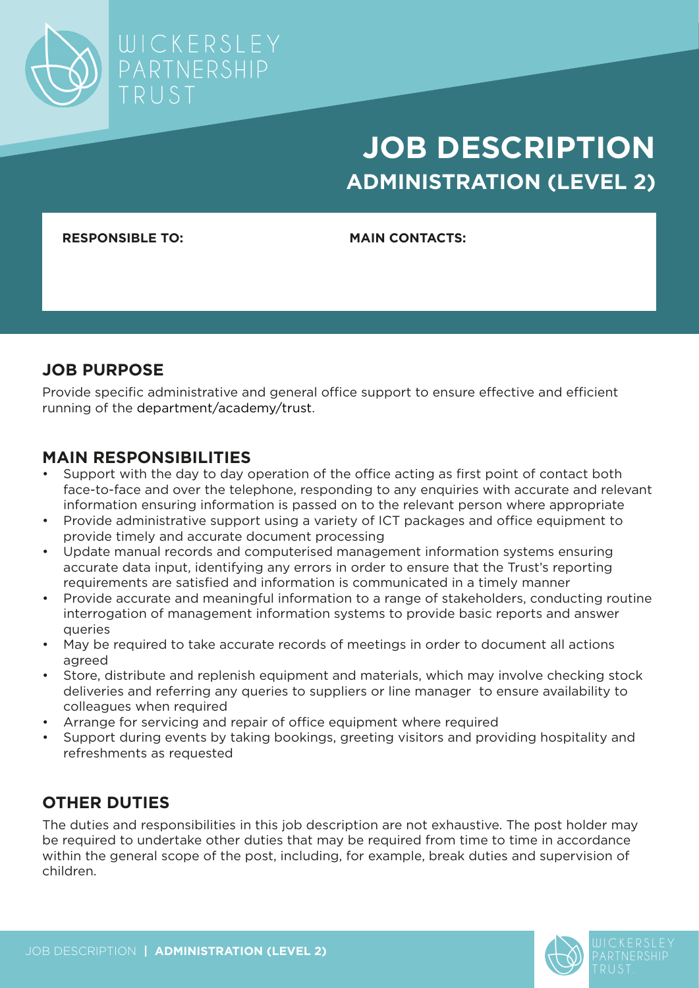

# **JOB DESCRIPTION ADMINISTRATION (LEVEL 2)**

**RESPONSIBLE TO: MAIN CONTACTS:**

## **JOB PURPOSE**

Provide specific administrative and general office support to ensure effective and efficient running of the department/academy/trust.

## **MAIN RESPONSIBILITIES**

- Support with the day to day operation of the office acting as first point of contact both face-to-face and over the telephone, responding to any enquiries with accurate and relevant information ensuring information is passed on to the relevant person where appropriate
- Provide administrative support using a variety of ICT packages and office equipment to provide timely and accurate document processing
- Update manual records and computerised management information systems ensuring accurate data input, identifying any errors in order to ensure that the Trust's reporting requirements are satisfied and information is communicated in a timely manner
- Provide accurate and meaningful information to a range of stakeholders, conducting routine interrogation of management information systems to provide basic reports and answer queries
- May be required to take accurate records of meetings in order to document all actions agreed
- Store, distribute and replenish equipment and materials, which may involve checking stock deliveries and referring any queries to suppliers or line manager to ensure availability to colleagues when required
- Arrange for servicing and repair of office equipment where required
- Support during events by taking bookings, greeting visitors and providing hospitality and refreshments as requested

# **OTHER DUTIES**

The duties and responsibilities in this job description are not exhaustive. The post holder may be required to undertake other duties that may be required from time to time in accordance within the general scope of the post, including, for example, break duties and supervision of children.

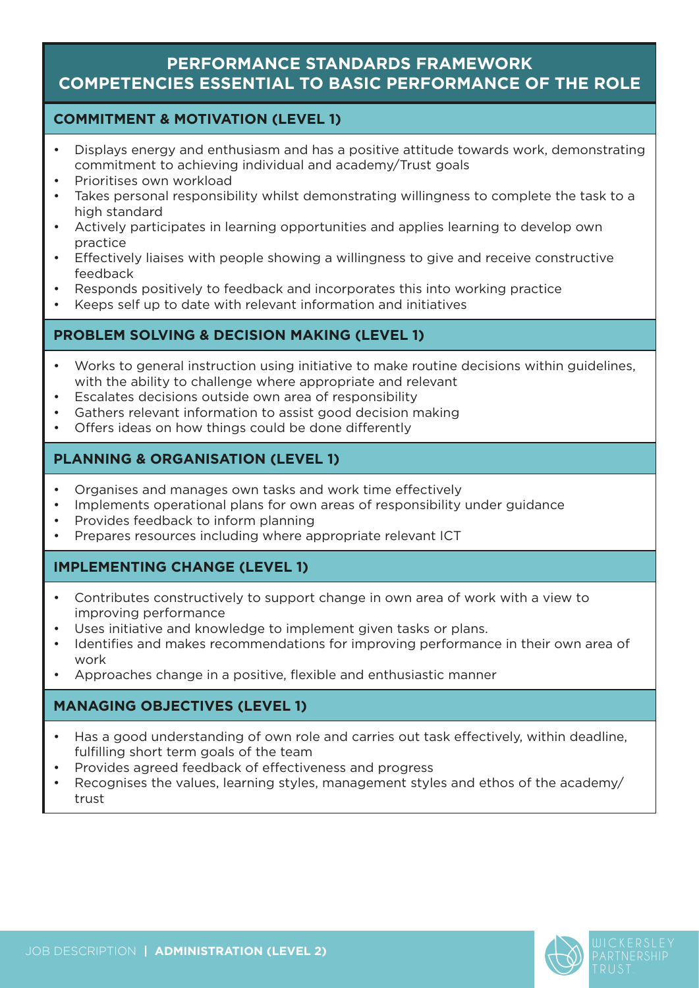## **PERFORMANCE STANDARDS FRAMEWORK COMPETENCIES ESSENTIAL TO BASIC PERFORMANCE OF THE ROLE**

#### **COMMITMENT & MOTIVATION (LEVEL 1)**

- Displays energy and enthusiasm and has a positive attitude towards work, demonstrating commitment to achieving individual and academy/Trust goals
- Prioritises own workload
- Takes personal responsibility whilst demonstrating willingness to complete the task to a high standard
- Actively participates in learning opportunities and applies learning to develop own practice
- Effectively liaises with people showing a willingness to give and receive constructive feedback
- Responds positively to feedback and incorporates this into working practice
- Keeps self up to date with relevant information and initiatives

## **PROBLEM SOLVING & DECISION MAKING (LEVEL 1)**

- Works to general instruction using initiative to make routine decisions within guidelines, with the ability to challenge where appropriate and relevant
- Escalates decisions outside own area of responsibility
- Gathers relevant information to assist good decision making
- Offers ideas on how things could be done differently

#### **PLANNING & ORGANISATION (LEVEL 1)**

- Organises and manages own tasks and work time effectively
- Implements operational plans for own areas of responsibility under guidance
- Provides feedback to inform planning
- Prepares resources including where appropriate relevant ICT

#### **IMPLEMENTING CHANGE (LEVEL 1)**

- Contributes constructively to support change in own area of work with a view to improving performance
- Uses initiative and knowledge to implement given tasks or plans.
- Identifies and makes recommendations for improving performance in their own area of work
- Approaches change in a positive, flexible and enthusiastic manner

## **MANAGING OBJECTIVES (LEVEL 1)**

- Has a good understanding of own role and carries out task effectively, within deadline, fulfilling short term goals of the team
- Provides agreed feedback of effectiveness and progress
- Recognises the values, learning styles, management styles and ethos of the academy/ trust

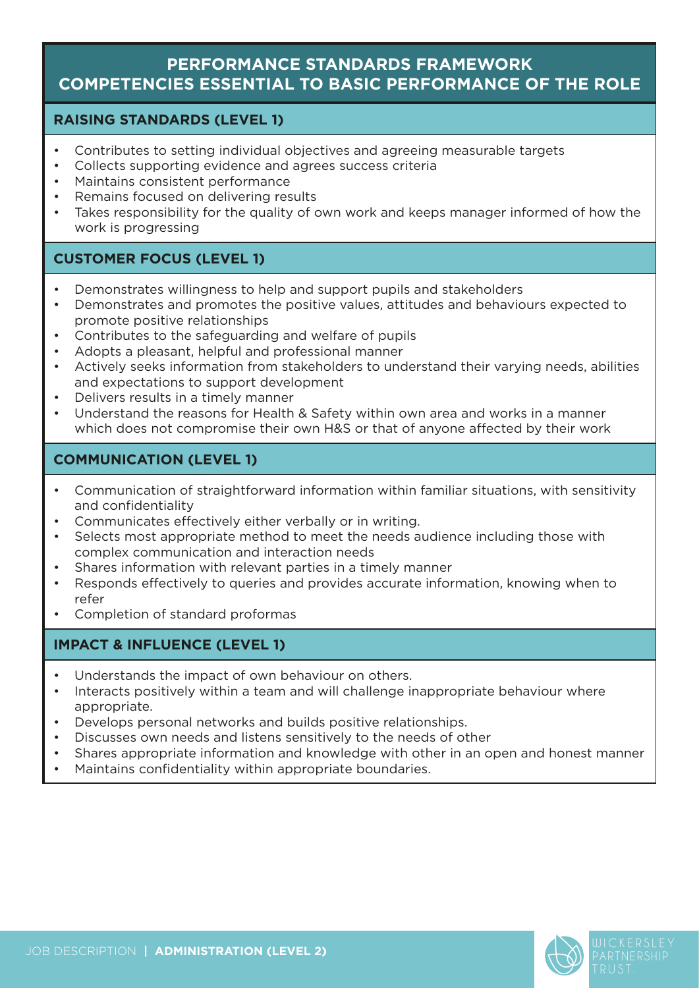## **PERFORMANCE STANDARDS FRAMEWORK COMPETENCIES ESSENTIAL TO BASIC PERFORMANCE OF THE ROLE**

#### **RAISING STANDARDS (LEVEL 1)**

- Contributes to setting individual objectives and agreeing measurable targets
- Collects supporting evidence and agrees success criteria
- Maintains consistent performance
- Remains focused on delivering results
- Takes responsibility for the quality of own work and keeps manager informed of how the work is progressing

## **CUSTOMER FOCUS (LEVEL 1)**

- Demonstrates willingness to help and support pupils and stakeholders
- Demonstrates and promotes the positive values, attitudes and behaviours expected to promote positive relationships
- Contributes to the safeguarding and welfare of pupils
- Adopts a pleasant, helpful and professional manner
- Actively seeks information from stakeholders to understand their varying needs, abilities and expectations to support development
- Delivers results in a timely manner
- Understand the reasons for Health & Safety within own area and works in a manner which does not compromise their own H&S or that of anyone affected by their work

## **COMMUNICATION (LEVEL 1)**

- Communication of straightforward information within familiar situations, with sensitivity and confidentiality
- Communicates effectively either verbally or in writing.
- Selects most appropriate method to meet the needs audience including those with complex communication and interaction needs
- Shares information with relevant parties in a timely manner
- Responds effectively to queries and provides accurate information, knowing when to refer
- Completion of standard proformas

#### **IMPACT & INFLUENCE (LEVEL 1)**

- Understands the impact of own behaviour on others.
- Interacts positively within a team and will challenge inappropriate behaviour where appropriate.
- Develops personal networks and builds positive relationships.
- Discusses own needs and listens sensitively to the needs of other
- Shares appropriate information and knowledge with other in an open and honest manner
- Maintains confidentiality within appropriate boundaries.